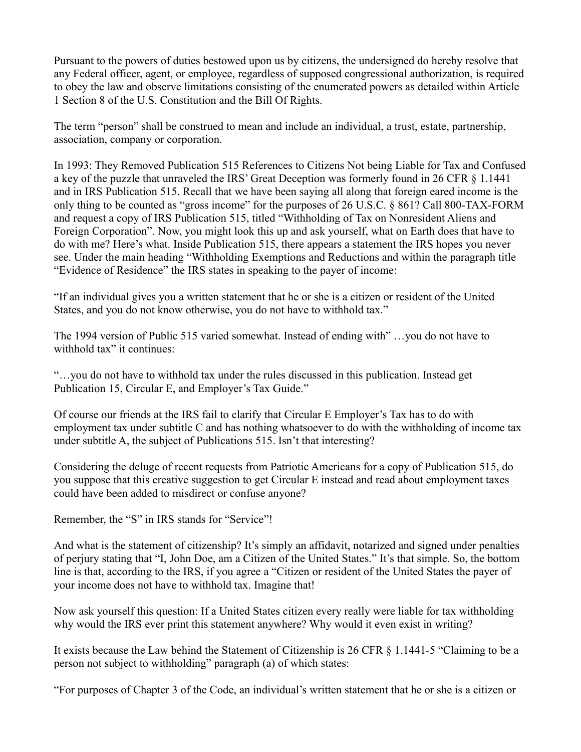Pursuant to the powers of duties bestowed upon us by citizens, the undersigned do hereby resolve that any Federal officer, agent, or employee, regardless of supposed congressional authorization, is required to obey the law and observe limitations consisting of the enumerated powers as detailed within Article 1 Section 8 of the U.S. Constitution and the Bill Of Rights.

The term "person" shall be construed to mean and include an individual, a trust, estate, partnership, association, company or corporation.

In 1993: They Removed Publication 515 References to Citizens Not being Liable for Tax and Confused a key of the puzzle that unraveled the IRS' Great Deception was formerly found in 26 CFR § 1.1441 and in IRS Publication 515. Recall that we have been saying all along that foreign eared income is the only thing to be counted as "gross income" for the purposes of 26 U.S.C. § 861? Call 800-TAX-FORM and request a copy of IRS Publication 515, titled "Withholding of Tax on Nonresident Aliens and Foreign Corporation". Now, you might look this up and ask yourself, what on Earth does that have to do with me? Here's what. Inside Publication 515, there appears a statement the IRS hopes you never see. Under the main heading "Withholding Exemptions and Reductions and within the paragraph title "Evidence of Residence" the IRS states in speaking to the payer of income:

"If an individual gives you a written statement that he or she is a citizen or resident of the United States, and you do not know otherwise, you do not have to withhold tax."

The 1994 version of Public 515 varied somewhat. Instead of ending with" …you do not have to withhold tax" it continues:

"…you do not have to withhold tax under the rules discussed in this publication. Instead get Publication 15, Circular E, and Employer's Tax Guide."

Of course our friends at the IRS fail to clarify that Circular E Employer's Tax has to do with employment tax under subtitle C and has nothing whatsoever to do with the withholding of income tax under subtitle A, the subject of Publications 515. Isn't that interesting?

Considering the deluge of recent requests from Patriotic Americans for a copy of Publication 515, do you suppose that this creative suggestion to get Circular E instead and read about employment taxes could have been added to misdirect or confuse anyone?

Remember, the "S" in IRS stands for "Service"!

And what is the statement of citizenship? It's simply an affidavit, notarized and signed under penalties of perjury stating that "I, John Doe, am a Citizen of the United States." It's that simple. So, the bottom line is that, according to the IRS, if you agree a "Citizen or resident of the United States the payer of your income does not have to withhold tax. Imagine that!

Now ask yourself this question: If a United States citizen every really were liable for tax withholding why would the IRS ever print this statement anywhere? Why would it even exist in writing?

It exists because the Law behind the Statement of Citizenship is 26 CFR § 1.1441-5 "Claiming to be a person not subject to withholding" paragraph (a) of which states:

"For purposes of Chapter 3 of the Code, an individual's written statement that he or she is a citizen or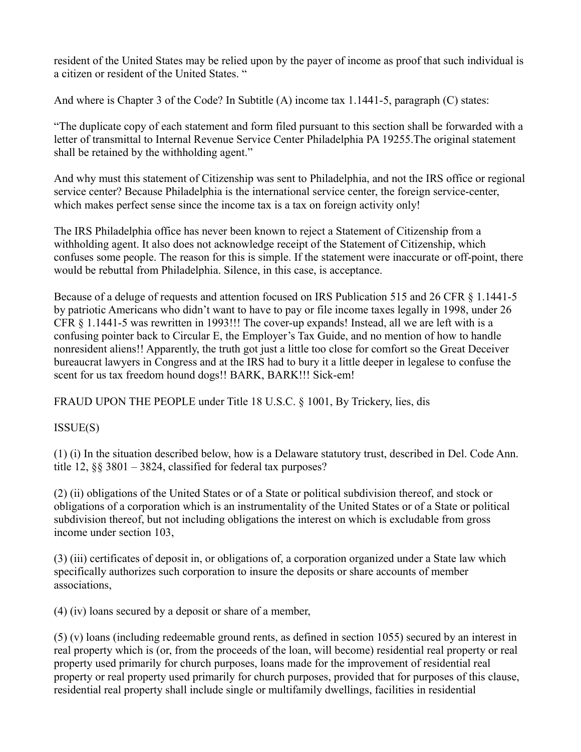resident of the United States may be relied upon by the payer of income as proof that such individual is a citizen or resident of the United States. "

And where is Chapter 3 of the Code? In Subtitle (A) income tax 1.1441-5, paragraph (C) states:

"The duplicate copy of each statement and form filed pursuant to this section shall be forwarded with a letter of transmittal to Internal Revenue Service Center Philadelphia PA 19255.The original statement shall be retained by the withholding agent."

And why must this statement of Citizenship was sent to Philadelphia, and not the IRS office or regional service center? Because Philadelphia is the international service center, the foreign service-center, which makes perfect sense since the income tax is a tax on foreign activity only!

The IRS Philadelphia office has never been known to reject a Statement of Citizenship from a withholding agent. It also does not acknowledge receipt of the Statement of Citizenship, which confuses some people. The reason for this is simple. If the statement were inaccurate or off-point, there would be rebuttal from Philadelphia. Silence, in this case, is acceptance.

Because of a deluge of requests and attention focused on IRS Publication 515 and 26 CFR § 1.1441-5 by patriotic Americans who didn't want to have to pay or file income taxes legally in 1998, under 26 CFR § 1.1441-5 was rewritten in 1993!!! The cover-up expands! Instead, all we are left with is a confusing pointer back to Circular E, the Employer's Tax Guide, and no mention of how to handle nonresident aliens!! Apparently, the truth got just a little too close for comfort so the Great Deceiver bureaucrat lawyers in Congress and at the IRS had to bury it a little deeper in legalese to confuse the scent for us tax freedom hound dogs!! BARK, BARK!!! Sick-em!

FRAUD UPON THE PEOPLE under Title 18 U.S.C. § 1001, By Trickery, lies, dis

ISSUE(S)

(1) (i) In the situation described below, how is a Delaware statutory trust, described in Del. Code Ann. title 12, §§ 3801 – 3824, classified for federal tax purposes?

(2) (ii) obligations of the United States or of a State or political subdivision thereof, and stock or obligations of a corporation which is an instrumentality of the United States or of a State or political subdivision thereof, but not including obligations the interest on which is excludable from gross income under section 103,

(3) (iii) certificates of deposit in, or obligations of, a corporation organized under a State law which specifically authorizes such corporation to insure the deposits or share accounts of member associations,

(4) (iv) loans secured by a deposit or share of a member,

(5) (v) loans (including redeemable ground rents, as defined in section 1055) secured by an interest in real property which is (or, from the proceeds of the loan, will become) residential real property or real property used primarily for church purposes, loans made for the improvement of residential real property or real property used primarily for church purposes, provided that for purposes of this clause, residential real property shall include single or multifamily dwellings, facilities in residential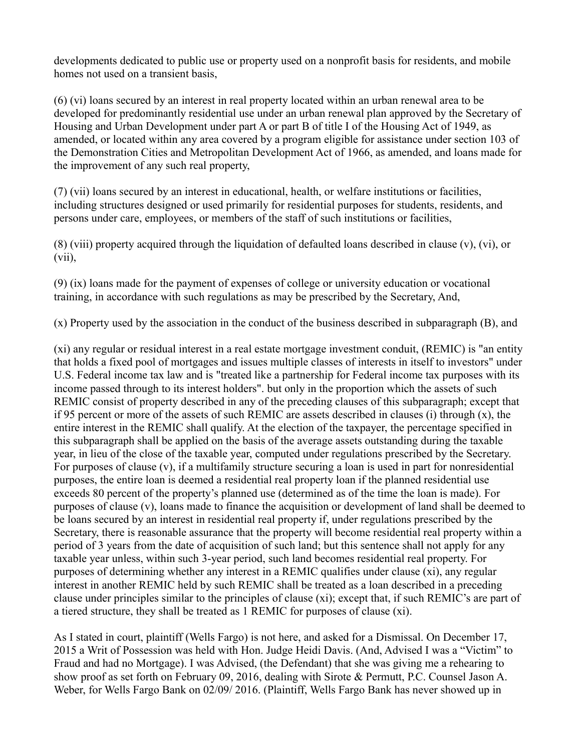developments dedicated to public use or property used on a nonprofit basis for residents, and mobile homes not used on a transient basis,

(6) (vi) loans secured by an interest in real property located within an urban renewal area to be developed for predominantly residential use under an urban renewal plan approved by the Secretary of Housing and Urban Development under part A or part B of title I of the Housing Act of 1949, as amended, or located within any area covered by a program eligible for assistance under section 103 of the Demonstration Cities and Metropolitan Development Act of 1966, as amended, and loans made for the improvement of any such real property,

(7) (vii) loans secured by an interest in educational, health, or welfare institutions or facilities, including structures designed or used primarily for residential purposes for students, residents, and persons under care, employees, or members of the staff of such institutions or facilities,

(8) (viii) property acquired through the liquidation of defaulted loans described in clause (v), (vi), or (vii),

(9) (ix) loans made for the payment of expenses of college or university education or vocational training, in accordance with such regulations as may be prescribed by the Secretary, And,

(x) Property used by the association in the conduct of the business described in subparagraph (B), and

(xi) any regular or residual interest in a real estate mortgage investment conduit, (REMIC) is "an entity that holds a fixed pool of mortgages and issues multiple classes of interests in itself to investors" under U.S. Federal income tax law and is "treated like a partnership for Federal income tax purposes with its income passed through to its interest holders". but only in the proportion which the assets of such REMIC consist of property described in any of the preceding clauses of this subparagraph; except that if 95 percent or more of the assets of such REMIC are assets described in clauses (i) through (x), the entire interest in the REMIC shall qualify. At the election of the taxpayer, the percentage specified in this subparagraph shall be applied on the basis of the average assets outstanding during the taxable year, in lieu of the close of the taxable year, computed under regulations prescribed by the Secretary. For purposes of clause (v), if a multifamily structure securing a loan is used in part for nonresidential purposes, the entire loan is deemed a residential real property loan if the planned residential use exceeds 80 percent of the property's planned use (determined as of the time the loan is made). For purposes of clause (v), loans made to finance the acquisition or development of land shall be deemed to be loans secured by an interest in residential real property if, under regulations prescribed by the Secretary, there is reasonable assurance that the property will become residential real property within a period of 3 years from the date of acquisition of such land; but this sentence shall not apply for any taxable year unless, within such 3-year period, such land becomes residential real property. For purposes of determining whether any interest in a REMIC qualifies under clause (xi), any regular interest in another REMIC held by such REMIC shall be treated as a loan described in a preceding clause under principles similar to the principles of clause (xi); except that, if such REMIC's are part of a tiered structure, they shall be treated as 1 REMIC for purposes of clause (xi).

As I stated in court, plaintiff (Wells Fargo) is not here, and asked for a Dismissal. On December 17, 2015 a Writ of Possession was held with Hon. Judge Heidi Davis. (And, Advised I was a "Victim" to Fraud and had no Mortgage). I was Advised, (the Defendant) that she was giving me a rehearing to show proof as set forth on February 09, 2016, dealing with Sirote & Permutt, P.C. Counsel Jason A. Weber, for Wells Fargo Bank on 02/09/ 2016. (Plaintiff, Wells Fargo Bank has never showed up in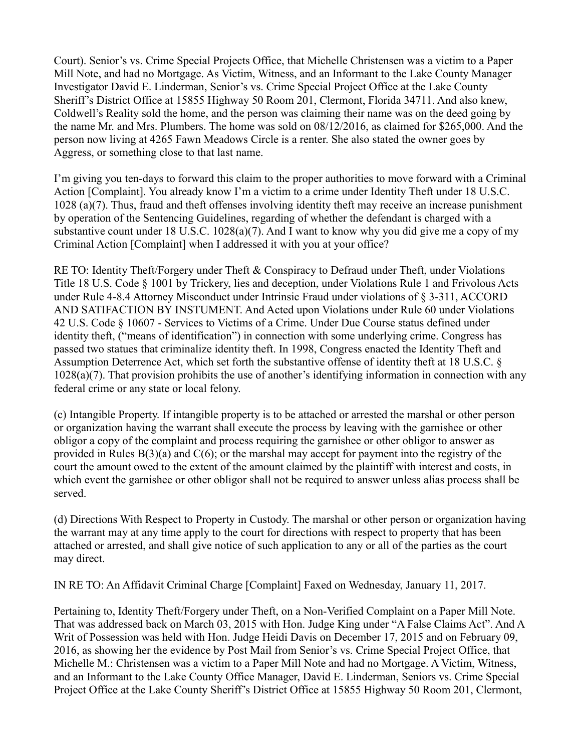Court). Senior's vs. Crime Special Projects Office, that Michelle Christensen was a victim to a Paper Mill Note, and had no Mortgage. As Victim, Witness, and an Informant to the Lake County Manager Investigator David E. Linderman, Senior's vs. Crime Special Project Office at the Lake County Sheriff's District Office at 15855 Highway 50 Room 201, Clermont, Florida 34711. And also knew, Coldwell's Reality sold the home, and the person was claiming their name was on the deed going by the name Mr. and Mrs. Plumbers. The home was sold on 08/12/2016, as claimed for \$265,000. And the person now living at 4265 Fawn Meadows Circle is a renter. She also stated the owner goes by Aggress, or something close to that last name.

I'm giving you ten-days to forward this claim to the proper authorities to move forward with a Criminal Action [Complaint]. You already know I'm a victim to a crime under Identity Theft under 18 U.S.C. 1028 (a)(7). Thus, fraud and theft offenses involving identity theft may receive an increase punishment by operation of the Sentencing Guidelines, regarding of whether the defendant is charged with a substantive count under 18 U.S.C. 1028(a)(7). And I want to know why you did give me a copy of my Criminal Action [Complaint] when I addressed it with you at your office?

RE TO: Identity Theft/Forgery under Theft & Conspiracy to Defraud under Theft, under Violations Title 18 U.S. Code § 1001 by Trickery, lies and deception, under Violations Rule 1 and Frivolous Acts under Rule 4-8.4 Attorney Misconduct under Intrinsic Fraud under violations of § 3-311, ACCORD AND SATIFACTION BY INSTUMENT. And Acted upon Violations under Rule 60 under Violations 42 U.S. Code § 10607 - Services to Victims of a Crime. Under Due Course status defined under identity theft, ("means of identification") in connection with some underlying crime. Congress has passed two statues that criminalize identity theft. In 1998, Congress enacted the Identity Theft and Assumption Deterrence Act, which set forth the substantive offense of identity theft at 18 U.S.C. § 1028(a)(7). That provision prohibits the use of another's identifying information in connection with any federal crime or any state or local felony.

(c) Intangible Property. If intangible property is to be attached or arrested the marshal or other person or organization having the warrant shall execute the process by leaving with the garnishee or other obligor a copy of the complaint and process requiring the garnishee or other obligor to answer as provided in Rules  $B(3)(a)$  and  $C(6)$ ; or the marshal may accept for payment into the registry of the court the amount owed to the extent of the amount claimed by the plaintiff with interest and costs, in which event the garnishee or other obligor shall not be required to answer unless alias process shall be served.

(d) Directions With Respect to Property in Custody. The marshal or other person or organization having the warrant may at any time apply to the court for directions with respect to property that has been attached or arrested, and shall give notice of such application to any or all of the parties as the court may direct.

IN RE TO: An Affidavit Criminal Charge [Complaint] Faxed on Wednesday, January 11, 2017.

Pertaining to, Identity Theft/Forgery under Theft, on a Non-Verified Complaint on a Paper Mill Note. That was addressed back on March 03, 2015 with Hon. Judge King under "A False Claims Act". And A Writ of Possession was held with Hon. Judge Heidi Davis on December 17, 2015 and on February 09, 2016, as showing her the evidence by Post Mail from Senior's vs. Crime Special Project Office, that Michelle M.: Christensen was a victim to a Paper Mill Note and had no Mortgage. A Victim, Witness, and an Informant to the Lake County Office Manager, David E. Linderman, Seniors vs. Crime Special Project Office at the Lake County Sheriff's District Office at 15855 Highway 50 Room 201, Clermont,